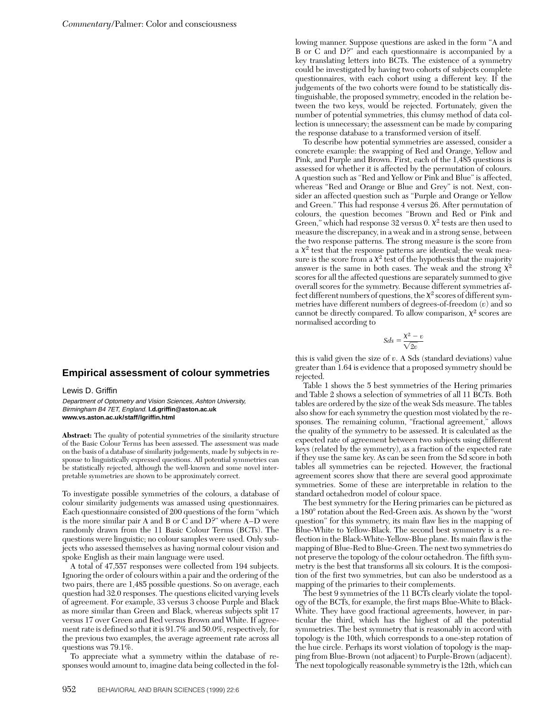## **Empirical assessment of colour symmetries**

## Lewis D. Griffin

Department of Optometry and Vision Sciences, Ashton University, Birmingham B4 7ET, England. **l.d.griffin@aston.ac.uk www.vs.aston.ac.uk/staff/lgriffin.html**

**Abstract:** The quality of potential symmetries of the similarity structure of the Basic Colour Terms has been assessed. The assessment was made on the basis of a database of similarity judgements, made by subjects in response to linguistically expressed questions. All potential symmetries can be statistically rejected, although the well-known and some novel interpretable symmetries are shown to be approximately correct.

To investigate possible symmetries of the colours, a database of colour similarity judgements was amassed using questionnaires. Each questionnaire consisted of 200 questions of the form "which is the more similar pair A and B or C and D?" where A–D were randomly drawn from the 11 Basic Colour Terms (BCTs). The questions were linguistic; no colour samples were used. Only subjects who assessed themselves as having normal colour vision and spoke English as their main language were used.

A total of 47,557 responses were collected from 194 subjects. Ignoring the order of colours within a pair and the ordering of the two pairs, there are 1,485 possible questions. So on average, each question had 32.0 responses. The questions elicited varying levels of agreement. For example, 33 versus 3 choose Purple and Black as more similar than Green and Black, whereas subjects split 17 versus 17 over Green and Red versus Brown and White. If agreement rate is defined so that it is 91.7% and 50.0%, respectively, for the previous two examples, the average agreement rate across all questions was 79.1%.

To appreciate what a symmetry within the database of responses would amount to, imagine data being collected in the following manner. Suppose questions are asked in the form "A and B or C and D?" and each questionnaire is accompanied by a key translating letters into BCTs. The existence of a symmetry could be investigated by having two cohorts of subjects complete questionnaires, with each cohort using a different key. If the judgements of the two cohorts were found to be statistically distinguishable, the proposed symmetry, encoded in the relation between the two keys, would be rejected. Fortunately, given the number of potential symmetries, this clumsy method of data collection is unnecessary; the assessment can be made by comparing the response database to a transformed version of itself.

To describe how potential symmetries are assessed, consider a concrete example: the swapping of Red and Orange, Yellow and Pink, and Purple and Brown. First, each of the 1,485 questions is assessed for whether it is affected by the permutation of colours. A question such as "Red and Yellow or Pink and Blue" is affected, whereas "Red and Orange or Blue and Grey" is not. Next, consider an affected question such as "Purple and Orange or Yellow and Green." This had response 4 versus 26. After permutation of colours, the question becomes "Brown and Red or Pink and Green," which had response 32 versus 0.  $\chi^2$  tests are then used to measure the discrepancy, in a weak and in a strong sense, between the two response patterns. The strong measure is the score from a  $\chi^2$  test that the response patterns are identical; the weak measure is the score from a  $\chi^2$  test of the hypothesis that the majority answer is the same in both cases. The weak and the strong  $\chi^2$ scores for all the affected questions are separately summed to give overall scores for the symmetry. Because different symmetries affect different numbers of questions, the  $\chi^2$  scores of different symmetries have different numbers of degrees-of-freedom (*v*) and so cannot be directly compared. To allow comparison,  $\chi^2$  scores are normalised according to

$$
Sds = \frac{\chi^2 - v}{\sqrt{2v}}
$$

this is valid given the size of *v*. A Sds (standard deviations) value greater than 1.64 is evidence that a proposed symmetry should be rejected.

Table 1 shows the 5 best symmetries of the Hering primaries and Table 2 shows a selection of symmetries of all 11 BCTs. Both tables are ordered by the size of the weak Sds measure. The tables also show for each symmetry the question most violated by the responses. The remaining column, "fractional agreement," allows the quality of the symmetry to be assessed. It is calculated as the expected rate of agreement between two subjects using different keys (related by the symmetry), as a fraction of the expected rate if they use the same key. As can be seen from the Sd score in both tables all symmetries can be rejected. However, the fractional agreement scores show that there are several good approximate symmetries. Some of these are interpretable in relation to the standard octahedron model of colour space.

The best symmetry for the Hering primaries can be pictured as a 180° rotation about the Red-Green axis. As shown by the "worst" question" for this symmetry, its main flaw lies in the mapping of Blue-White to Yellow-Black. The second best symmetry is a reflection in the Black-White-Yellow-Blue plane. Its main flaw is the mapping of Blue-Red to Blue-Green. The next two symmetries do not preserve the topology of the colour octahedron. The fifth symmetry is the best that transforms all six colours. It is the composition of the first two symmetries, but can also be understood as a mapping of the primaries to their complements.

The best 9 symmetries of the 11 BCTs clearly violate the topology of the BCTs, for example, the first maps Blue-White to Black-White. They have good fractional agreements, however, in particular the third, which has the highest of all the potential symmetries. The best symmetry that is reasonably in accord with topology is the 10th, which corresponds to a one-step rotation of the hue circle. Perhaps its worst violation of topology is the mapping from Blue-Brown (not adjacent) to Purple-Brown (adjacent). The next topologically reasonable symmetry is the 12th, which can